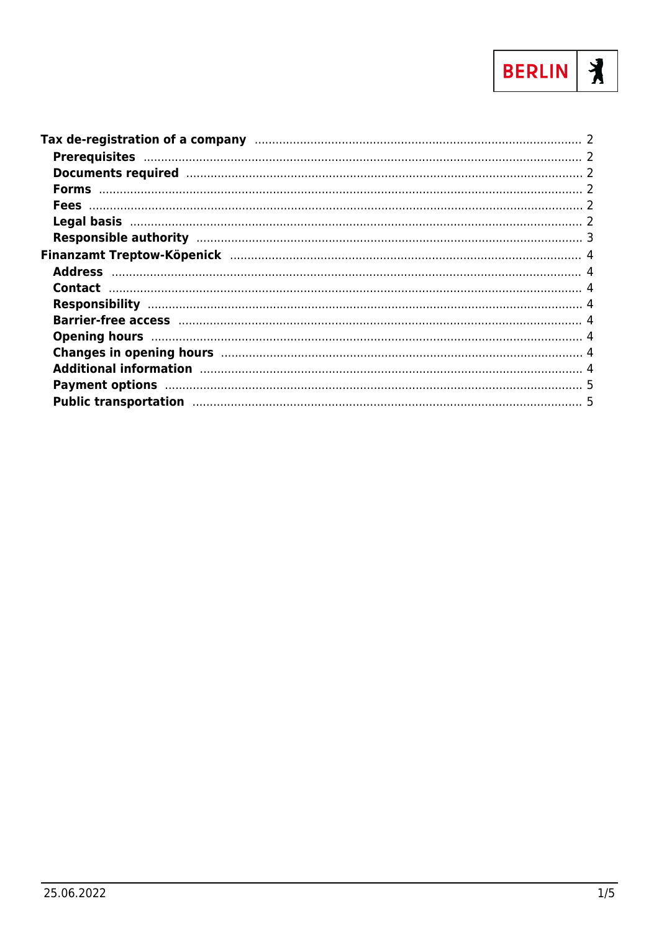

| Changes in opening hours manufactured and the contract of the state of the contract of the contract of the contract of the contract of the contract of the contract of the contract of the contract of the contract of the con |  |
|--------------------------------------------------------------------------------------------------------------------------------------------------------------------------------------------------------------------------------|--|
| Additional information manufactured and the control of the control of the control of the control of the control of the control of the control of the control of the control of the control of the control of the control of th |  |
| Payment options manufactured and the control of the state of the state of the control of the state of the state of the state of the state of the state of the state of the state of the state of the state of the state of the |  |
| Public transportation manufactured and the state of the state of the state of the state of the state of the state of the state of the state of the state of the state of the state of the state of the state of the state of t |  |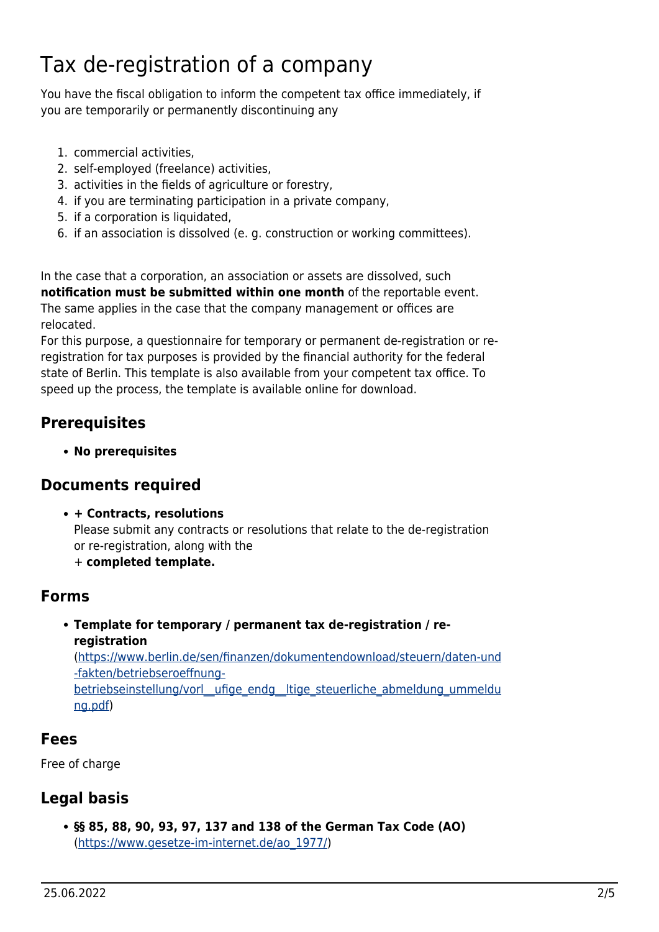# <span id="page-1-0"></span>Tax de-registration of a company

You have the fiscal obligation to inform the competent tax office immediately, if you are temporarily or permanently discontinuing any

- 1. commercial activities,
- 2. self-employed (freelance) activities,
- 3. activities in the fields of agriculture or forestry,
- 4. if you are terminating participation in a private company,
- 5. if a corporation is liquidated,
- 6. if an association is dissolved (e. g. construction or working committees).

In the case that a corporation, an association or assets are dissolved, such **notification must be submitted within one month** of the reportable event. The same applies in the case that the company management or offices are relocated.

For this purpose, a questionnaire for temporary or permanent de-registration or reregistration for tax purposes is provided by the financial authority for the federal state of Berlin. This template is also available from your competent tax office. To speed up the process, the template is available online for download.

#### <span id="page-1-1"></span>**Prerequisites**

**No prerequisites**

#### <span id="page-1-2"></span>**Documents required**

**+ Contracts, resolutions**

Please submit any contracts or resolutions that relate to the de-registration or re-registration, along with the

+ **completed template.**

#### <span id="page-1-3"></span>**Forms**

#### **Template for temporary / permanent tax de-registration / reregistration** ([https://www.berlin.de/sen/finanzen/dokumentendownload/steuern/daten-und](https://www.berlin.de/sen/finanzen/dokumentendownload/steuern/daten-und-fakten/betriebseroeffnung-betriebseinstellung/vorl__ufige_endg__ltige_steuerliche_abmeldung_ummeldung.pdf)

[-fakten/betriebseroeffnung](https://www.berlin.de/sen/finanzen/dokumentendownload/steuern/daten-und-fakten/betriebseroeffnung-betriebseinstellung/vorl__ufige_endg__ltige_steuerliche_abmeldung_ummeldung.pdf)betriebseinstellung/vorl\_ufige\_endg\_ltige\_steuerliche\_abmeldung\_ummeldu [ng.pdf\)](https://www.berlin.de/sen/finanzen/dokumentendownload/steuern/daten-und-fakten/betriebseroeffnung-betriebseinstellung/vorl__ufige_endg__ltige_steuerliche_abmeldung_ummeldung.pdf)

#### <span id="page-1-4"></span>**Fees**

Free of charge

#### <span id="page-1-5"></span>**Legal basis**

**§§ 85, 88, 90, 93, 97, 137 and 138 of the German Tax Code (AO)** ([https://www.gesetze-im-internet.de/ao\\_1977/\)](https://www.gesetze-im-internet.de/ao_1977/)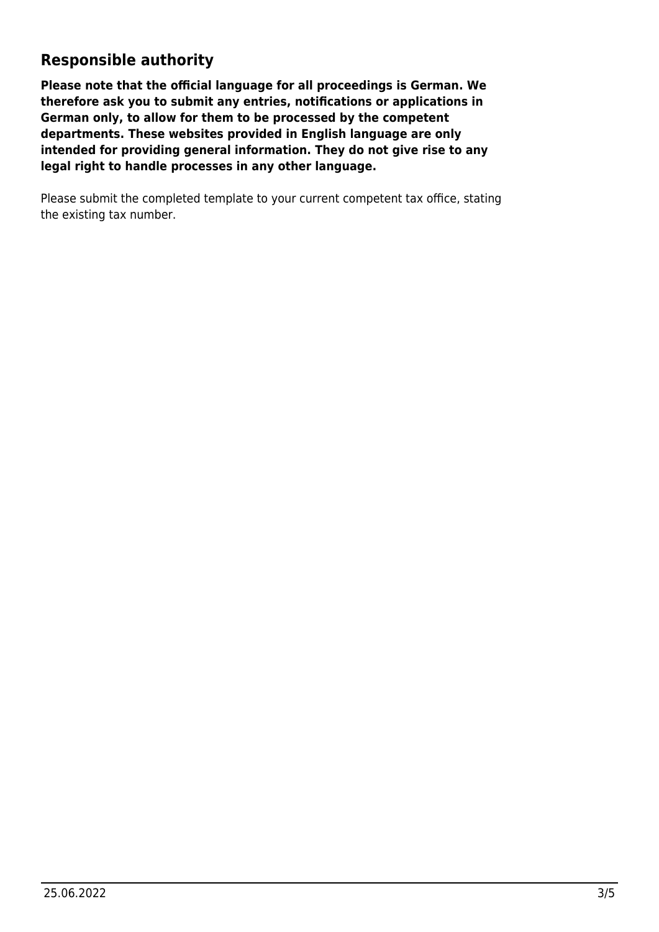#### <span id="page-2-0"></span>**Responsible authority**

**Please note that the official language for all proceedings is German. We therefore ask you to submit any entries, notifications or applications in German only, to allow for them to be processed by the competent departments. These websites provided in English language are only intended for providing general information. They do not give rise to any legal right to handle processes in any other language.**

Please submit the completed template to your current competent tax office, stating the existing tax number.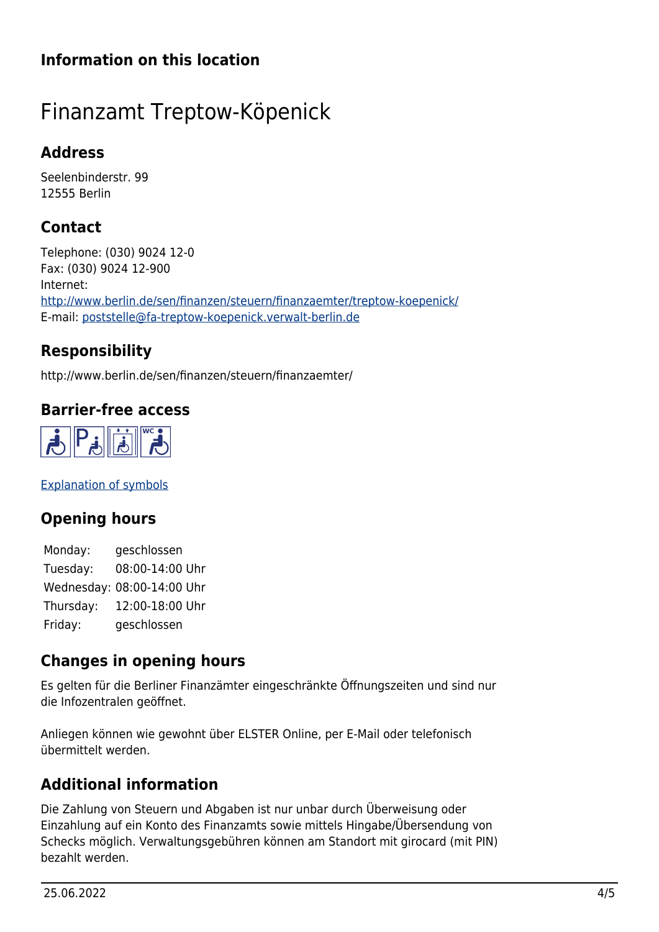## **Information on this location**

# <span id="page-3-0"></span>Finanzamt Treptow-Köpenick

#### <span id="page-3-1"></span>**Address**

Seelenbinderstr. 99 12555 Berlin

# <span id="page-3-2"></span>**Contact**

Telephone: (030) 9024 12-0 Fax: (030) 9024 12-900 Internet: <http://www.berlin.de/sen/finanzen/steuern/finanzaemter/treptow-koepenick/> E-mail: [poststelle@fa-treptow-koepenick.verwalt-berlin.de](mailto:poststelle@fa-treptow-koepenick.verwalt-berlin.de)

## <span id="page-3-3"></span>**Responsibility**

http://www.berlin.de/sen/finanzen/steuern/finanzaemter/

#### **Barrier-free access**

<span id="page-3-4"></span>

[Explanation of symbols](https://service.berlin.de/hinweise/artikel.2699.php)

#### <span id="page-3-5"></span>**Opening hours**

Monday: geschlossen Tuesday: 08:00-14:00 Uhr Wednesday: 08:00-14:00 Uhr Thursday: 12:00-18:00 Uhr Friday: geschlossen

#### <span id="page-3-6"></span>**Changes in opening hours**

Es gelten für die Berliner Finanzämter eingeschränkte Öffnungszeiten und sind nur die Infozentralen geöffnet.

Anliegen können wie gewohnt über ELSTER Online, per E-Mail oder telefonisch übermittelt werden.

## <span id="page-3-7"></span>**Additional information**

Die Zahlung von Steuern und Abgaben ist nur unbar durch Überweisung oder Einzahlung auf ein Konto des Finanzamts sowie mittels Hingabe/Übersendung von Schecks möglich. Verwaltungsgebühren können am Standort mit girocard (mit PIN) bezahlt werden.